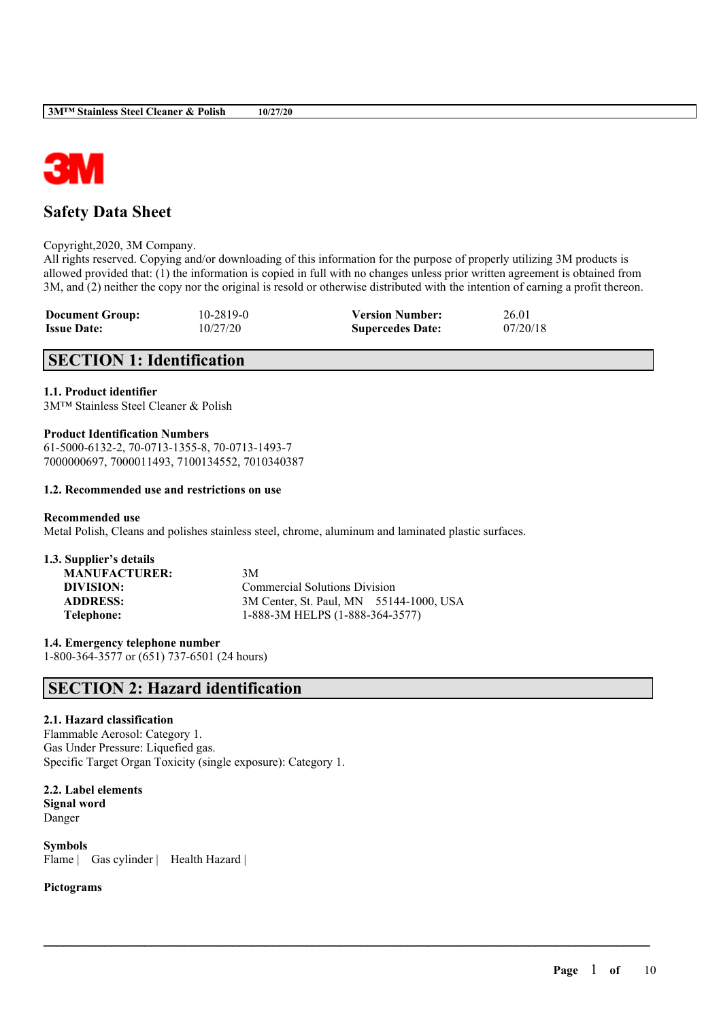

# **Safety Data Sheet**

Copyright,2020, 3M Company.

All rights reserved. Copying and/or downloading of this information for the purpose of properly utilizing 3M products is allowed provided that: (1) the information is copied in full with no changes unless prior written agreement is obtained from 3M, and (2) neither the copy nor the original is resold or otherwise distributed with the intention of earning a profit thereon.

 $\mathcal{L}_\mathcal{L} = \mathcal{L}_\mathcal{L} = \mathcal{L}_\mathcal{L} = \mathcal{L}_\mathcal{L} = \mathcal{L}_\mathcal{L} = \mathcal{L}_\mathcal{L} = \mathcal{L}_\mathcal{L} = \mathcal{L}_\mathcal{L} = \mathcal{L}_\mathcal{L} = \mathcal{L}_\mathcal{L} = \mathcal{L}_\mathcal{L} = \mathcal{L}_\mathcal{L} = \mathcal{L}_\mathcal{L} = \mathcal{L}_\mathcal{L} = \mathcal{L}_\mathcal{L} = \mathcal{L}_\mathcal{L} = \mathcal{L}_\mathcal{L}$ 

| <b>Document Group:</b> | $10 - 2819 - 0$ | <b>Version Number:</b>  | 26.01    |
|------------------------|-----------------|-------------------------|----------|
| <b>Issue Date:</b>     | 10/27/20        | <b>Supercedes Date:</b> | 07/20/18 |

# **SECTION 1: Identification**

### **1.1. Product identifier**

3M™ Stainless Steel Cleaner & Polish

### **Product Identification Numbers**

61-5000-6132-2, 70-0713-1355-8, 70-0713-1493-7 7000000697, 7000011493, 7100134552, 7010340387

### **1.2. Recommended use and restrictions on use**

### **Recommended use**

Metal Polish, Cleans and polishes stainless steel, chrome, aluminum and laminated plastic surfaces.

| 1.3. Supplier's details |                                         |
|-------------------------|-----------------------------------------|
| <b>MANUFACTURER:</b>    | 3M                                      |
| DIVISION:               | <b>Commercial Solutions Division</b>    |
| <b>ADDRESS:</b>         | 3M Center, St. Paul, MN 55144-1000, USA |
| Telephone:              | 1-888-3M HELPS (1-888-364-3577)         |

**1.4. Emergency telephone number** 1-800-364-3577 or (651) 737-6501 (24 hours)

# **SECTION 2: Hazard identification**

### **2.1. Hazard classification**

Flammable Aerosol: Category 1. Gas Under Pressure: Liquefied gas. Specific Target Organ Toxicity (single exposure): Category 1.

**2.2. Label elements Signal word** Danger

**Symbols** Flame | Gas cylinder | Health Hazard |

### **Pictograms**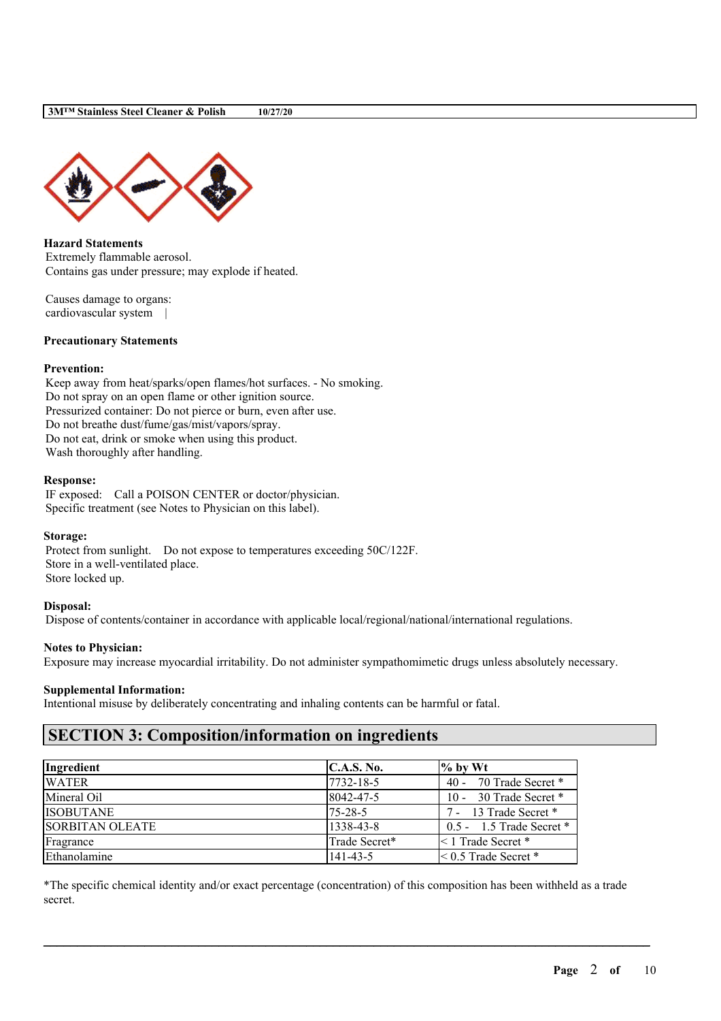

**Hazard Statements** Extremely flammable aerosol. Contains gas under pressure; may explode if heated.

Causes damage to organs: cardiovascular system |

### **Precautionary Statements**

### **Prevention:**

Keep away from heat/sparks/open flames/hot surfaces. - No smoking. Do not spray on an open flame or other ignition source. Pressurized container: Do not pierce or burn, even after use. Do not breathe dust/fume/gas/mist/vapors/spray. Do not eat, drink or smoke when using this product. Wash thoroughly after handling.

### **Response:**

IF exposed: Call a POISON CENTER or doctor/physician. Specific treatment (see Notes to Physician on this label).

#### **Storage:**

Protect from sunlight. Do not expose to temperatures exceeding 50C/122F. Store in a well-ventilated place. Store locked up.

### **Disposal:**

Dispose of contents/container in accordance with applicable local/regional/national/international regulations.

#### **Notes to Physician:**

Exposure may increase myocardial irritability. Do not administer sympathomimetic drugs unless absolutely necessary.

#### **Supplemental Information:**

Intentional misuse by deliberately concentrating and inhaling contents can be harmful or fatal.

# **SECTION 3: Composition/information on ingredients**

| Ingredient             | C.A.S. No.    | $\frac{9}{6}$ by Wt          |
|------------------------|---------------|------------------------------|
| <b>WATER</b>           | 7732-18-5     | 40 - 70 Trade Secret $*$     |
| Mineral Oil            | 8042-47-5     | 10 - 30 Trade Secret *       |
| <b>ISOBUTANE</b>       | $75 - 28 - 5$ | 7 - 13 Trade Secret *        |
| <b>SORBITAN OLEATE</b> | 1338-43-8     | $0.5 - 1.5$ Trade Secret $*$ |
| Fragrance              | Trade Secret* | $\leq 1$ Trade Secret $*$    |
| Ethanolamine           | 141-43-5      | $\leq 0.5$ Trade Secret $*$  |

\*The specific chemical identity and/or exact percentage (concentration) of this composition has been withheld as a trade secret.

 $\mathcal{L}_\mathcal{L} = \mathcal{L}_\mathcal{L} = \mathcal{L}_\mathcal{L} = \mathcal{L}_\mathcal{L} = \mathcal{L}_\mathcal{L} = \mathcal{L}_\mathcal{L} = \mathcal{L}_\mathcal{L} = \mathcal{L}_\mathcal{L} = \mathcal{L}_\mathcal{L} = \mathcal{L}_\mathcal{L} = \mathcal{L}_\mathcal{L} = \mathcal{L}_\mathcal{L} = \mathcal{L}_\mathcal{L} = \mathcal{L}_\mathcal{L} = \mathcal{L}_\mathcal{L} = \mathcal{L}_\mathcal{L} = \mathcal{L}_\mathcal{L}$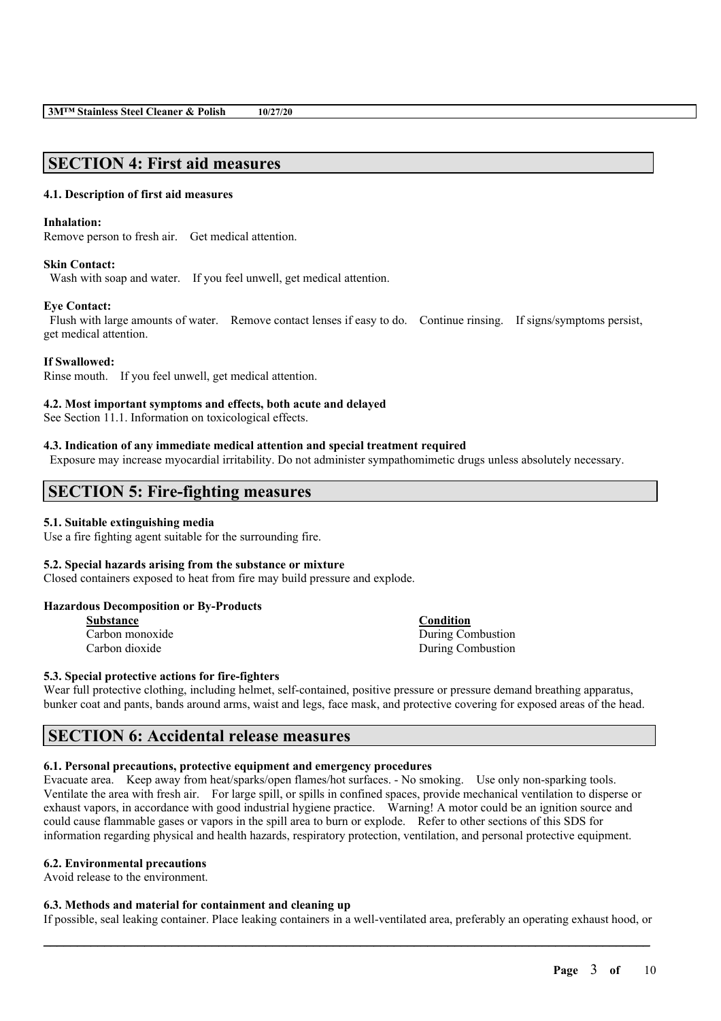# **SECTION 4: First aid measures**

# **4.1. Description of first aid measures**

# **Inhalation:**

Remove person to fresh air. Get medical attention.

# **Skin Contact:**

Wash with soap and water. If you feel unwell, get medical attention.

# **Eye Contact:**

Flush with large amounts of water. Remove contact lenses if easy to do. Continue rinsing. If signs/symptoms persist, get medical attention.

### **If Swallowed:**

Rinse mouth. If you feel unwell, get medical attention.

### **4.2. Most important symptoms and effects, both acute and delayed**

See Section 11.1. Information on toxicological effects.

### **4.3. Indication of any immediate medical attention and special treatment required**

Exposure may increase myocardial irritability. Do not administer sympathomimetic drugs unless absolutely necessary.

# **SECTION 5: Fire-fighting measures**

### **5.1. Suitable extinguishing media**

Use a fire fighting agent suitable for the surrounding fire.

### **5.2. Special hazards arising from the substance or mixture**

Closed containers exposed to heat from fire may build pressure and explode.

### **Hazardous Decomposition or By-Products**

| Substance       |  |  |  |  |
|-----------------|--|--|--|--|
| Carbon monoxide |  |  |  |  |
| Carbon dioxide  |  |  |  |  |

**Condition** During Combustion During Combustion

### **5.3. Special protective actions for fire-fighters**

Wear full protective clothing, including helmet, self-contained, positive pressure or pressure demand breathing apparatus, bunker coat and pants, bands around arms, waist and legs, face mask, and protective covering for exposed areas of the head.

# **SECTION 6: Accidental release measures**

# **6.1. Personal precautions, protective equipment and emergency procedures**

Evacuate area. Keep away from heat/sparks/open flames/hot surfaces. - No smoking. Use only non-sparking tools. Ventilate the area with fresh air. For large spill, or spills in confined spaces, provide mechanical ventilation to disperse or exhaust vapors, in accordance with good industrial hygiene practice. Warning! A motor could be an ignition source and could cause flammable gases or vapors in the spill area to burn or explode. Refer to other sections of this SDS for information regarding physical and health hazards, respiratory protection, ventilation, and personal protective equipment.

# **6.2. Environmental precautions**

Avoid release to the environment.

# **6.3. Methods and material for containment and cleaning up**

 $\mathcal{L}_\mathcal{L} = \mathcal{L}_\mathcal{L} = \mathcal{L}_\mathcal{L} = \mathcal{L}_\mathcal{L} = \mathcal{L}_\mathcal{L} = \mathcal{L}_\mathcal{L} = \mathcal{L}_\mathcal{L} = \mathcal{L}_\mathcal{L} = \mathcal{L}_\mathcal{L} = \mathcal{L}_\mathcal{L} = \mathcal{L}_\mathcal{L} = \mathcal{L}_\mathcal{L} = \mathcal{L}_\mathcal{L} = \mathcal{L}_\mathcal{L} = \mathcal{L}_\mathcal{L} = \mathcal{L}_\mathcal{L} = \mathcal{L}_\mathcal{L}$ If possible, seal leaking container. Place leaking containers in a well-ventilated area, preferably an operating exhaust hood, or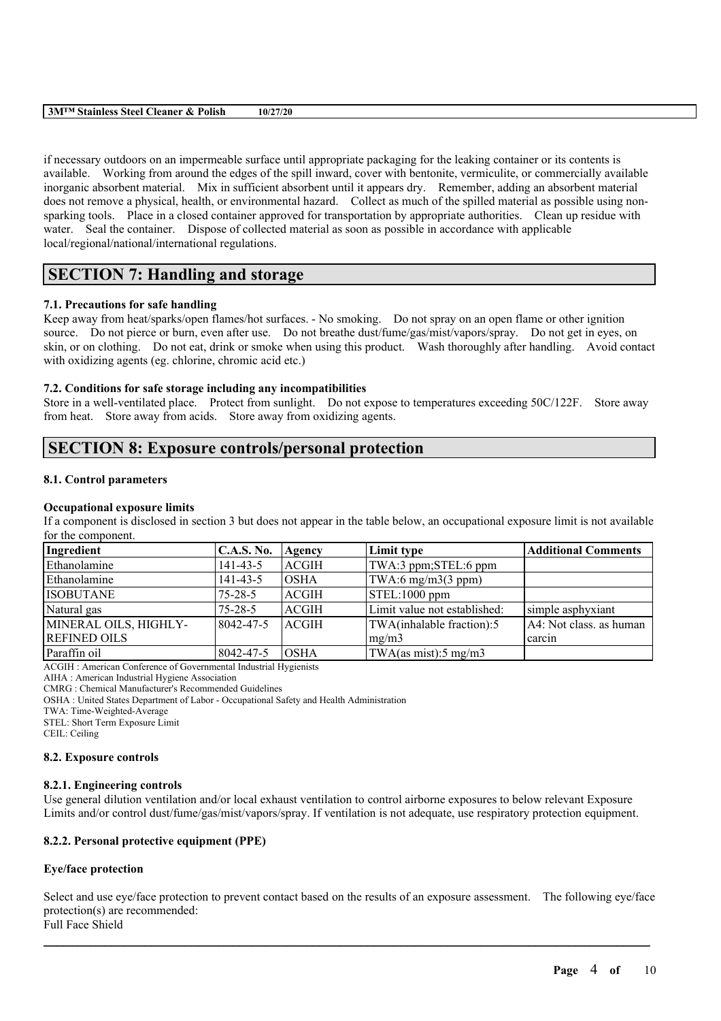| $3M^{TM}$<br>$\mathbf{r}$<br>Polish<br>stainless '<br><b>Steel</b><br><b>Cleaner</b><br>w<br>. | 10/27/20 |
|------------------------------------------------------------------------------------------------|----------|
|                                                                                                |          |

if necessary outdoors on an impermeable surface until appropriate packaging for the leaking container or its contents is available. Working from around the edges of the spill inward, cover with bentonite, vermiculite, or commercially available inorganic absorbent material. Mix in sufficient absorbent until it appears dry. Remember, adding an absorbent material does not remove a physical, health, or environmental hazard. Collect as much of the spilled material as possible using nonsparking tools. Place in a closed container approved for transportation by appropriate authorities. Clean up residue with water. Seal the container. Dispose of collected material as soon as possible in accordance with applicable local/regional/national/international regulations.

# **SECTION 7: Handling and storage**

## **7.1. Precautions for safe handling**

Keep away from heat/sparks/open flames/hot surfaces. - No smoking. Do not spray on an open flame or other ignition source. Do not pierce or burn, even after use. Do not breathe dust/fume/gas/mist/vapors/spray. Do not get in eyes, on skin, or on clothing. Do not eat, drink or smoke when using this product. Wash thoroughly after handling. Avoid contact with oxidizing agents (eg. chlorine, chromic acid etc.)

## **7.2. Conditions for safe storage including any incompatibilities**

Store in a well-ventilated place. Protect from sunlight. Do not expose to temperatures exceeding 50C/122F. Store away from heat. Store away from acids. Store away from oxidizing agents.

# **SECTION 8: Exposure controls/personal protection**

### **8.1. Control parameters**

### **Occupational exposure limits**

If a component is disclosed in section 3 but does not appear in the table below, an occupational exposure limit is not available for the component.

| Ingredient            | <b>C.A.S. No.</b> | Agency       | Limit type                          | <b>Additional Comments</b> |
|-----------------------|-------------------|--------------|-------------------------------------|----------------------------|
| Ethanolamine          | $141 - 43 - 5$    | ACGIH        | TWA:3 ppm;STEL:6 ppm                |                            |
| Ethanolamine          | 141-43-5          | IOSHA        | $\text{TWA:6 mg/m3}(3 \text{ ppm})$ |                            |
| <b>ISOBUTANE</b>      | $75 - 28 - 5$     | ACGIH        | $ STEL:1000$ ppm                    |                            |
| Natural gas           | $75 - 28 - 5$     | <b>ACGIH</b> | Limit value not established:        | simple asphyxiant          |
| MINERAL OILS, HIGHLY- | 8042-47-5         | <b>ACGIH</b> | TWA(inhalable fraction):5           | A4: Not class. as human    |
| <b>REFINED OILS</b>   |                   |              | mg/m3                               | carcin                     |
| Paraffin oil          | 8042-47-5         | IOSHA        | TWA(as mist):5 mg/m3                |                            |

ACGIH : American Conference of Governmental Industrial Hygienists

AIHA : American Industrial Hygiene Association CMRG : Chemical Manufacturer's Recommended Guidelines

OSHA : United States Department of Labor - Occupational Safety and Health Administration

TWA: Time-Weighted-Average

STEL: Short Term Exposure Limit

CEIL: Ceiling

### **8.2. Exposure controls**

### **8.2.1. Engineering controls**

Use general dilution ventilation and/or local exhaust ventilation to control airborne exposures to below relevant Exposure Limits and/or control dust/fume/gas/mist/vapors/spray. If ventilation is not adequate, use respiratory protection equipment.

## **8.2.2. Personal protective equipment (PPE)**

### **Eye/face protection**

Select and use eye/face protection to prevent contact based on the results of an exposure assessment. The following eye/face protection(s) are recommended: Full Face Shield

 $\mathcal{L}_\mathcal{L} = \mathcal{L}_\mathcal{L} = \mathcal{L}_\mathcal{L} = \mathcal{L}_\mathcal{L} = \mathcal{L}_\mathcal{L} = \mathcal{L}_\mathcal{L} = \mathcal{L}_\mathcal{L} = \mathcal{L}_\mathcal{L} = \mathcal{L}_\mathcal{L} = \mathcal{L}_\mathcal{L} = \mathcal{L}_\mathcal{L} = \mathcal{L}_\mathcal{L} = \mathcal{L}_\mathcal{L} = \mathcal{L}_\mathcal{L} = \mathcal{L}_\mathcal{L} = \mathcal{L}_\mathcal{L} = \mathcal{L}_\mathcal{L}$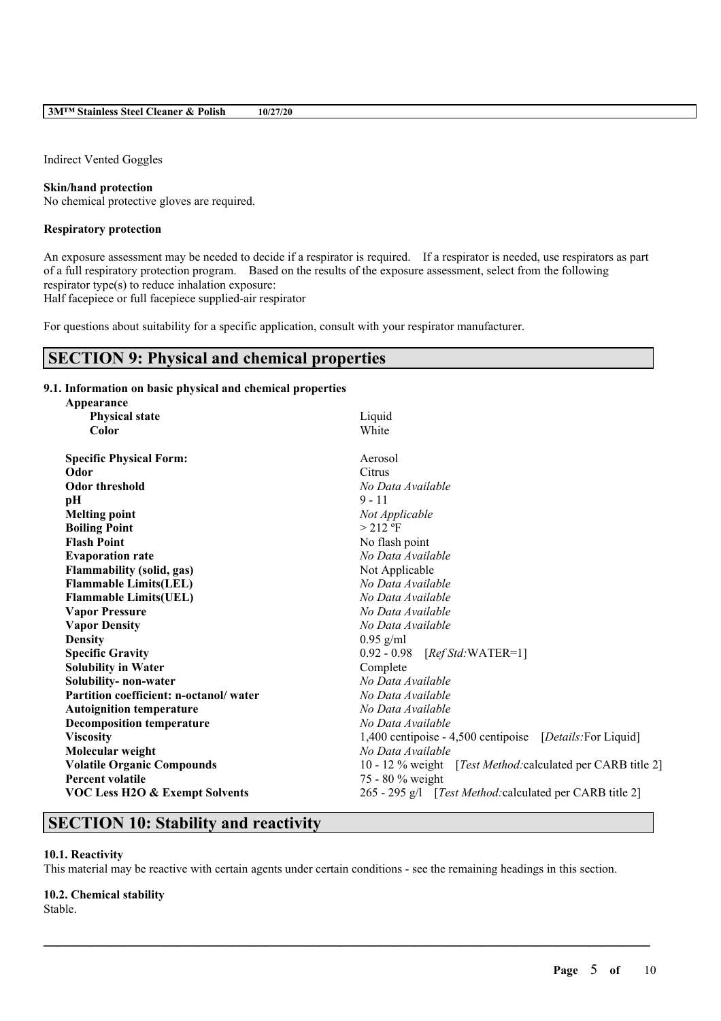Indirect Vented Goggles

### **Skin/hand protection**

No chemical protective gloves are required.

#### **Respiratory protection**

An exposure assessment may be needed to decide if a respirator is required. If a respirator is needed, use respirators as part of a full respiratory protection program. Based on the results of the exposure assessment, select from the following respirator type(s) to reduce inhalation exposure:

Half facepiece or full facepiece supplied-air respirator

For questions about suitability for a specific application, consult with your respirator manufacturer.

# **SECTION 9: Physical and chemical properties**

### **9.1. Information on basic physical and chemical properties**

| Appearance                                |                                                                     |  |  |
|-------------------------------------------|---------------------------------------------------------------------|--|--|
| <b>Physical state</b>                     | Liquid                                                              |  |  |
| Color                                     | White                                                               |  |  |
| <b>Specific Physical Form:</b>            | Aerosol                                                             |  |  |
| Odor                                      | Citrus                                                              |  |  |
| <b>Odor threshold</b>                     | No Data Available                                                   |  |  |
| pH                                        | $9 - 11$                                                            |  |  |
| <b>Melting point</b>                      | Not Applicable                                                      |  |  |
| <b>Boiling Point</b>                      | $> 212$ °F                                                          |  |  |
| <b>Flash Point</b>                        | No flash point                                                      |  |  |
| <b>Evaporation rate</b>                   | No Data Available                                                   |  |  |
| <b>Flammability (solid, gas)</b>          | Not Applicable                                                      |  |  |
| <b>Flammable Limits(LEL)</b>              | No Data Available                                                   |  |  |
| <b>Flammable Limits(UEL)</b>              | No Data Available                                                   |  |  |
| <b>Vapor Pressure</b>                     | No Data Available                                                   |  |  |
| <b>Vapor Density</b>                      | No Data Available                                                   |  |  |
| <b>Density</b>                            | $0.95$ g/ml                                                         |  |  |
| <b>Specific Gravity</b>                   | 0.92 - 0.98 [Ref Std: WATER=1]                                      |  |  |
| <b>Solubility in Water</b>                | Complete                                                            |  |  |
| Solubility- non-water                     | No Data Available                                                   |  |  |
| Partition coefficient: n-octanol/water    | No Data Available                                                   |  |  |
| <b>Autoignition temperature</b>           | No Data Available                                                   |  |  |
| <b>Decomposition temperature</b>          | No Data Available                                                   |  |  |
| <b>Viscosity</b>                          | 1,400 centipoise - 4,500 centipoise [Details: For Liquid]           |  |  |
| Molecular weight                          | No Data Available                                                   |  |  |
| <b>Volatile Organic Compounds</b>         | 10 - 12 % weight [ <i>Test Method:calculated per CARB title 2</i> ] |  |  |
| <b>Percent volatile</b>                   | 75 - 80 % weight                                                    |  |  |
| <b>VOC Less H2O &amp; Exempt Solvents</b> | 265 - 295 g/l [Test Method: calculated per CARB title 2]            |  |  |

# **SECTION 10: Stability and reactivity**

### **10.1. Reactivity**

This material may be reactive with certain agents under certain conditions - see the remaining headings in this section.

 $\mathcal{L}_\mathcal{L} = \mathcal{L}_\mathcal{L} = \mathcal{L}_\mathcal{L} = \mathcal{L}_\mathcal{L} = \mathcal{L}_\mathcal{L} = \mathcal{L}_\mathcal{L} = \mathcal{L}_\mathcal{L} = \mathcal{L}_\mathcal{L} = \mathcal{L}_\mathcal{L} = \mathcal{L}_\mathcal{L} = \mathcal{L}_\mathcal{L} = \mathcal{L}_\mathcal{L} = \mathcal{L}_\mathcal{L} = \mathcal{L}_\mathcal{L} = \mathcal{L}_\mathcal{L} = \mathcal{L}_\mathcal{L} = \mathcal{L}_\mathcal{L}$ 

#### **10.2. Chemical stability**

Stable.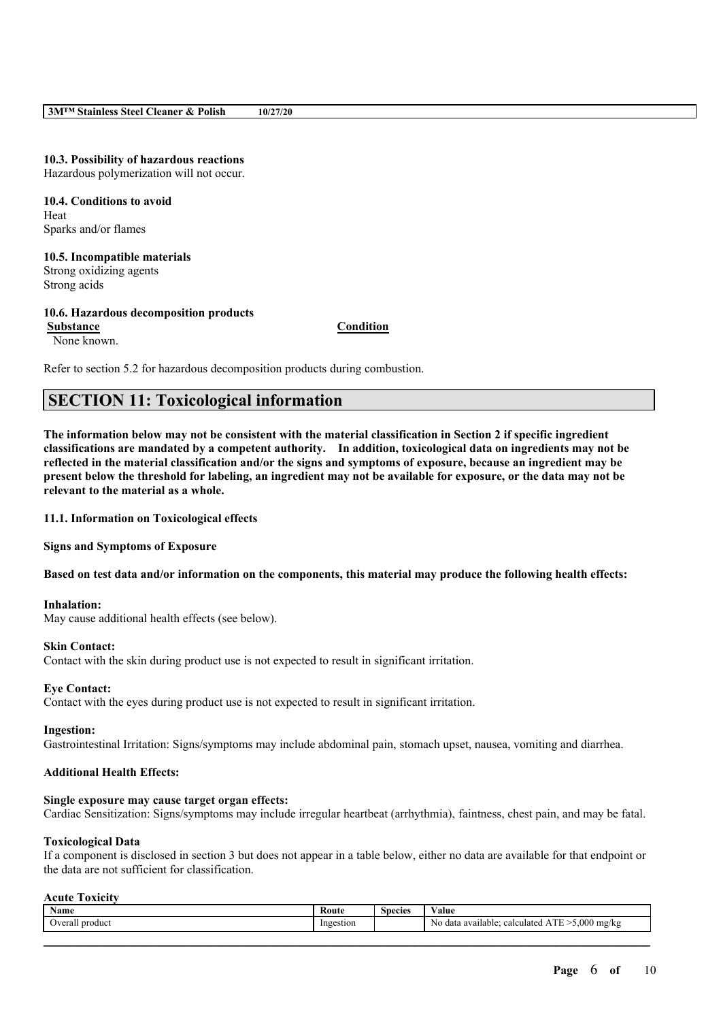# **10.3. Possibility of hazardous reactions**

Hazardous polymerization will not occur.

**10.4. Conditions to avoid** Heat Sparks and/or flames

**10.5. Incompatible materials** Strong oxidizing agents Strong acids

# **10.6. Hazardous decomposition products Substance Condition**

None known.

Refer to section 5.2 for hazardous decomposition products during combustion.

# **SECTION 11: Toxicological information**

The information below may not be consistent with the material classification in Section 2 if specific ingredient **classifications are mandated by a competent authority. In addition, toxicological data on ingredients may not be** reflected in the material classification and/or the signs and symptoms of exposure, because an ingredient may be present below the threshold for labeling, an ingredient may not be available for exposure, or the data may not be **relevant to the material as a whole.**

**11.1. Information on Toxicological effects**

**Signs and Symptoms of Exposure**

Based on test data and/or information on the components, this material may produce the following health effects:

### **Inhalation:**

May cause additional health effects (see below).

### **Skin Contact:**

Contact with the skin during product use is not expected to result in significant irritation.

### **Eye Contact:**

Contact with the eyes during product use is not expected to result in significant irritation.

#### **Ingestion:**

Gastrointestinal Irritation: Signs/symptoms may include abdominal pain, stomach upset, nausea, vomiting and diarrhea.

### **Additional Health Effects:**

#### **Single exposure may cause target organ effects:**

Cardiac Sensitization: Signs/symptoms may include irregular heartbeat (arrhythmia), faintness, chest pain, and may be fatal.

#### **Toxicological Data**

If a component is disclosed in section 3 but does not appear in a table below, either no data are available for that endpoint or the data are not sufficient for classification.

#### **Acute Toxicity**

| Name                 | Route     | <b>Species</b> | $\mathbf{v}$ $\mathbf{v}$<br>Value                                             |
|----------------------|-----------|----------------|--------------------------------------------------------------------------------|
| Overall<br>l product | Ingestion |                | . T T<br>$-5,000$ mg/kg<br>calculated<br>No data available;<br>۰ <i>בו</i> דו. |
|                      |           |                |                                                                                |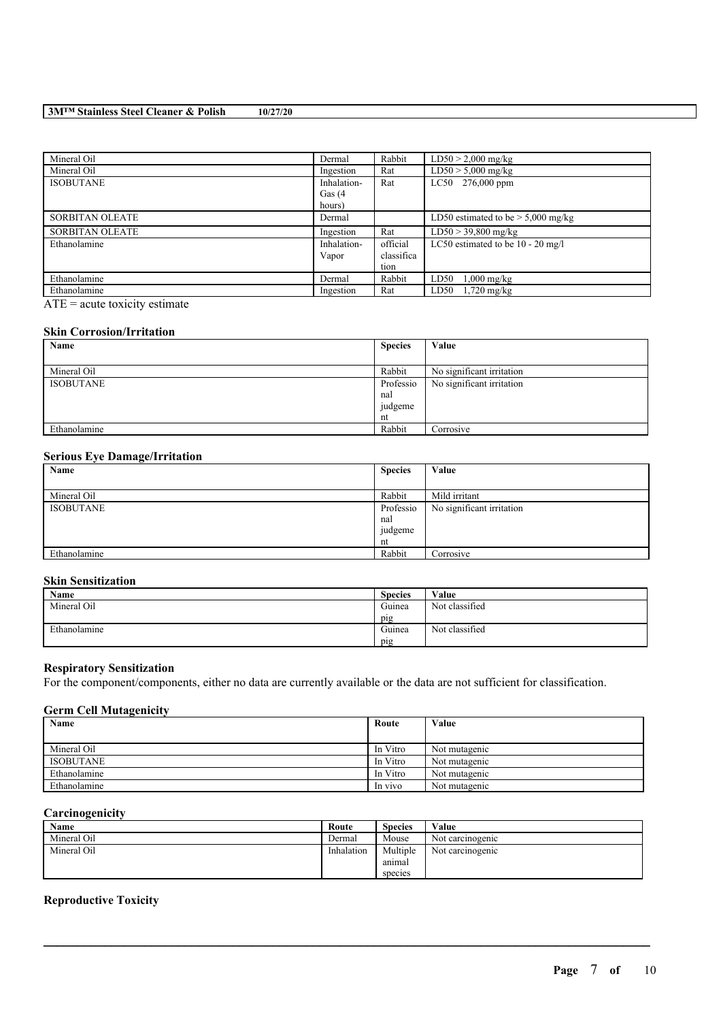### **3M™ Stainless Steel Cleaner & Polish 10/27/20**

| Mineral Oil            | Dermal      | Rabbit     | $LD50 > 2,000$ mg/kg                 |
|------------------------|-------------|------------|--------------------------------------|
| Mineral Oil            | Ingestion   | Rat        | $LD50 > 5,000$ mg/kg                 |
| <b>ISOBUTANE</b>       | Inhalation- | Rat        | LC50 276,000 ppm                     |
|                        | Gas $(4)$   |            |                                      |
|                        | hours)      |            |                                      |
| <b>SORBITAN OLEATE</b> | Dermal      |            | LD50 estimated to be $> 5,000$ mg/kg |
| <b>SORBITAN OLEATE</b> | Ingestion   | Rat        | $LD50 > 39,800$ mg/kg                |
| Ethanolamine           | Inhalation- | official   | LC50 estimated to be $10 - 20$ mg/l  |
|                        | Vapor       | classifica |                                      |
|                        |             | tion       |                                      |
| Ethanolamine           | Dermal      | Rabbit     | LD50<br>$1,000 \text{ mg/kg}$        |
| Ethanolamine           | Ingestion   | Rat        | LD50<br>$1,720$ mg/kg                |

ATE = acute toxicity estimate

### **Skin Corrosion/Irritation**

| Name             | <b>Species</b> | Value                     |
|------------------|----------------|---------------------------|
|                  |                |                           |
| Mineral Oil      | Rabbit         | No significant irritation |
| <b>ISOBUTANE</b> | Professio      | No significant irritation |
|                  | nal            |                           |
|                  | judgeme        |                           |
|                  | nt             |                           |
| Ethanolamine     | Rabbit         | Corrosive                 |

### **Serious Eye Damage/Irritation**

| $\sim$<br>Name   | <b>Species</b> | Value                     |
|------------------|----------------|---------------------------|
|                  |                |                           |
| Mineral Oil      | Rabbit         | Mild irritant             |
| <b>ISOBUTANE</b> | Professio      | No significant irritation |
|                  | nal            |                           |
|                  | judgeme        |                           |
|                  | nt             |                           |
| Ethanolamine     | Rabbit         | Corrosive                 |

## **Skin Sensitization**

| Name         | <b>Species</b> | Value          |
|--------------|----------------|----------------|
| Mineral Oil  | Guinea         | Not classified |
|              | pig            |                |
| Ethanolamine | Guinea         | Not classified |
|              | pig            |                |

### **Respiratory Sensitization**

For the component/components, either no data are currently available or the data are not sufficient for classification.

## **Germ Cell Mutagenicity**

| Name             | Route    | Value         |
|------------------|----------|---------------|
|                  |          |               |
| Mineral Oil      | In Vitro | Not mutagenic |
| <b>ISOBUTANE</b> | In Vitro | Not mutagenic |
| Ethanolamine     | In Vitro | Not mutagenic |
| Ethanolamine     | In vivo  | Not mutagenic |

## **Carcinogenicity**

| <b>Name</b> | Route      | <b>Species</b> | Value            |
|-------------|------------|----------------|------------------|
| Mineral Oil | Dermal     | Mouse          | Not carcinogenic |
| Mineral Oil | Inhalation | Multiple       | Not carcinogenic |
|             |            | anımal         |                  |
|             |            | species        |                  |

 $\mathcal{L}_\mathcal{L} = \mathcal{L}_\mathcal{L} = \mathcal{L}_\mathcal{L} = \mathcal{L}_\mathcal{L} = \mathcal{L}_\mathcal{L} = \mathcal{L}_\mathcal{L} = \mathcal{L}_\mathcal{L} = \mathcal{L}_\mathcal{L} = \mathcal{L}_\mathcal{L} = \mathcal{L}_\mathcal{L} = \mathcal{L}_\mathcal{L} = \mathcal{L}_\mathcal{L} = \mathcal{L}_\mathcal{L} = \mathcal{L}_\mathcal{L} = \mathcal{L}_\mathcal{L} = \mathcal{L}_\mathcal{L} = \mathcal{L}_\mathcal{L}$ 

# **Reproductive Toxicity**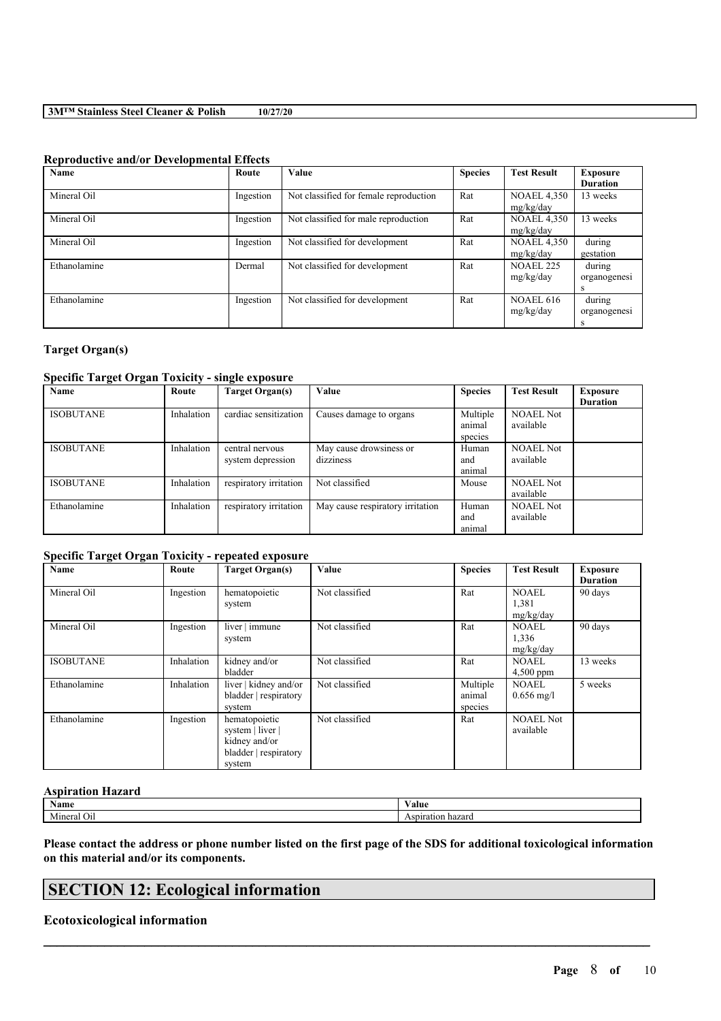## **3M™ Stainless Steel Cleaner & Polish 10/27/20**

### **Reproductive and/or Developmental Effects**

| Name         | Route     | Value                                  | <b>Species</b> | <b>Test Result</b> | <b>Exposure</b> |
|--------------|-----------|----------------------------------------|----------------|--------------------|-----------------|
|              |           |                                        |                |                    | <b>Duration</b> |
| Mineral Oil  | Ingestion | Not classified for female reproduction | Rat            | <b>NOAEL 4,350</b> | 13 weeks        |
|              |           |                                        |                | mg/kg/day          |                 |
| Mineral Oil  | Ingestion | Not classified for male reproduction   | Rat            | <b>NOAEL 4,350</b> | 13 weeks        |
|              |           |                                        |                | mg/kg/day          |                 |
| Mineral Oil  | Ingestion | Not classified for development         | Rat            | <b>NOAEL 4,350</b> | during          |
|              |           |                                        |                | mg/kg/day          | gestation       |
| Ethanolamine | Dermal    | Not classified for development         | Rat            | <b>NOAEL 225</b>   | during          |
|              |           |                                        |                | mg/kg/day          | organogenesi    |
|              |           |                                        |                |                    | s               |
| Ethanolamine | Ingestion | Not classified for development         | Rat            | <b>NOAEL 616</b>   | during          |
|              |           |                                        |                | mg/kg/day          | organogenesi    |
|              |           |                                        |                |                    | s               |

### **Target Organ(s)**

### **Specific Target Organ Toxicity - single exposure**

| Name             | Route      | Target Organ(s)        | Value                            | <b>Species</b> | <b>Test Result</b> | <b>Exposure</b> |
|------------------|------------|------------------------|----------------------------------|----------------|--------------------|-----------------|
|                  |            |                        |                                  |                |                    | <b>Duration</b> |
| <b>ISOBUTANE</b> | Inhalation | cardiac sensitization  | Causes damage to organs          | Multiple       | <b>NOAEL Not</b>   |                 |
|                  |            |                        |                                  | animal         | available          |                 |
|                  |            |                        |                                  | species        |                    |                 |
| <b>ISOBUTANE</b> | Inhalation | central nervous        | May cause drowsiness or          | Human          | <b>NOAEL Not</b>   |                 |
|                  |            | system depression      | dizziness                        | and            | available          |                 |
|                  |            |                        |                                  | animal         |                    |                 |
| <b>ISOBUTANE</b> | Inhalation | respiratory irritation | Not classified                   | Mouse          | <b>NOAEL Not</b>   |                 |
|                  |            |                        |                                  |                | available          |                 |
| Ethanolamine     | Inhalation | respiratory irritation | May cause respiratory irritation | Human          | <b>NOAEL Not</b>   |                 |
|                  |            |                        |                                  | and            | available          |                 |
|                  |            |                        |                                  | animal         |                    |                 |

## **Specific Target Organ Toxicity - repeated exposure**

| Name             | Route      | <b>Target Organ(s)</b>                                                                | Value          | <b>Species</b>                | <b>Test Result</b>                   | <b>Exposure</b><br><b>Duration</b> |
|------------------|------------|---------------------------------------------------------------------------------------|----------------|-------------------------------|--------------------------------------|------------------------------------|
| Mineral Oil      | Ingestion  | hematopoietic<br>system                                                               | Not classified | Rat                           | NOAEL<br>1,381<br>mg/kg/day          | 90 days                            |
| Mineral Oil      | Ingestion  | liver   immune<br>system                                                              | Not classified | Rat                           | <b>NOAEL</b><br>1,336<br>mg/kg/day   | 90 days                            |
| <b>ISOBUTANE</b> | Inhalation | kidney and/or<br>bladder                                                              | Not classified | Rat                           | <b>NOAEL</b><br>$4,500$ ppm          | 13 weeks                           |
| Ethanolamine     | Inhalation | liver   kidney and/or<br>bladder   respiratory<br>system                              | Not classified | Multiple<br>animal<br>species | <b>NOAEL</b><br>$0.656 \text{ mg/l}$ | 5 weeks                            |
| Ethanolamine     | Ingestion  | hematopoietic<br>system   liver  <br>kidney and/or<br>bladder   respiratory<br>system | Not classified | Rat                           | <b>NOAEL Not</b><br>available        |                                    |

### **Aspiration Hazard**

| $\mathbf{v}$<br>Name | V alue      |
|----------------------|-------------|
| ுடை<br>.             | 'zarc<br>на |

Please contact the address or phone number listed on the first page of the SDS for additional toxicological information **on this material and/or its components.**

 $\mathcal{L}_\mathcal{L} = \mathcal{L}_\mathcal{L} = \mathcal{L}_\mathcal{L} = \mathcal{L}_\mathcal{L} = \mathcal{L}_\mathcal{L} = \mathcal{L}_\mathcal{L} = \mathcal{L}_\mathcal{L} = \mathcal{L}_\mathcal{L} = \mathcal{L}_\mathcal{L} = \mathcal{L}_\mathcal{L} = \mathcal{L}_\mathcal{L} = \mathcal{L}_\mathcal{L} = \mathcal{L}_\mathcal{L} = \mathcal{L}_\mathcal{L} = \mathcal{L}_\mathcal{L} = \mathcal{L}_\mathcal{L} = \mathcal{L}_\mathcal{L}$ 

# **SECTION 12: Ecological information**

## **Ecotoxicological information**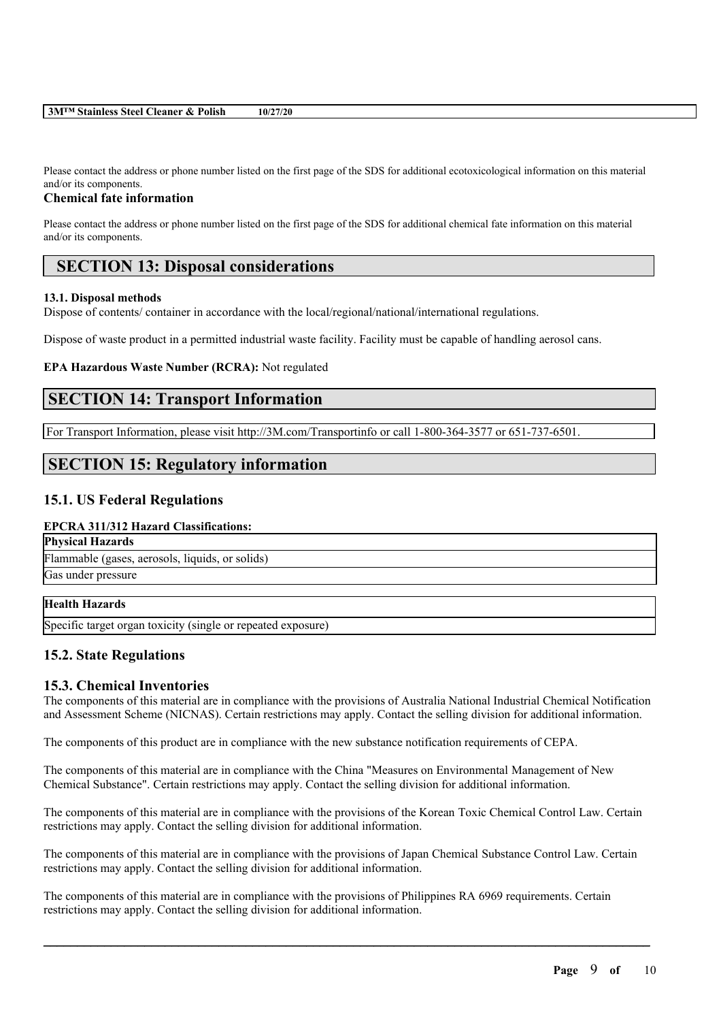| 3M <sup>™</sup> Stainless Steel Cleaner & Polish | 10/27/20 |
|--------------------------------------------------|----------|
|--------------------------------------------------|----------|

Please contact the address or phone number listed on the first page of the SDS for additional ecotoxicological information on this material and/or its components.

### **Chemical fate information**

Please contact the address or phone number listed on the first page of the SDS for additional chemical fate information on this material and/or its components.

# **SECTION 13: Disposal considerations**

### **13.1. Disposal methods**

Dispose of contents/ container in accordance with the local/regional/national/international regulations.

Dispose of waste product in a permitted industrial waste facility. Facility must be capable of handling aerosol cans.

### **EPA Hazardous Waste Number (RCRA):** Not regulated

# **SECTION 14: Transport Information**

For Transport Information, please visit http://3M.com/Transportinfo or call 1-800-364-3577 or 651-737-6501.

# **SECTION 15: Regulatory information**

## **15.1. US Federal Regulations**

### **EPCRA 311/312 Hazard Classifications:**

**Physical Hazards** Flammable (gases, aerosols, liquids, or solids)

Gas under pressure

## **Health Hazards**

Specific target organ toxicity (single or repeated exposure)

## **15.2. State Regulations**

## **15.3. Chemical Inventories**

The components of this material are in compliance with the provisions of Australia National Industrial Chemical Notification and Assessment Scheme (NICNAS). Certain restrictions may apply. Contact the selling division for additional information.

The components of this product are in compliance with the new substance notification requirements of CEPA.

The components of this material are in compliance with the China "Measures on Environmental Management of New Chemical Substance". Certain restrictions may apply. Contact the selling division for additional information.

The components of this material are in compliance with the provisions of the Korean Toxic Chemical Control Law. Certain restrictions may apply. Contact the selling division for additional information.

The components of this material are in compliance with the provisions of Japan Chemical Substance Control Law. Certain restrictions may apply. Contact the selling division for additional information.

 $\mathcal{L}_\mathcal{L} = \mathcal{L}_\mathcal{L} = \mathcal{L}_\mathcal{L} = \mathcal{L}_\mathcal{L} = \mathcal{L}_\mathcal{L} = \mathcal{L}_\mathcal{L} = \mathcal{L}_\mathcal{L} = \mathcal{L}_\mathcal{L} = \mathcal{L}_\mathcal{L} = \mathcal{L}_\mathcal{L} = \mathcal{L}_\mathcal{L} = \mathcal{L}_\mathcal{L} = \mathcal{L}_\mathcal{L} = \mathcal{L}_\mathcal{L} = \mathcal{L}_\mathcal{L} = \mathcal{L}_\mathcal{L} = \mathcal{L}_\mathcal{L}$ 

The components of this material are in compliance with the provisions of Philippines RA 6969 requirements. Certain restrictions may apply. Contact the selling division for additional information.